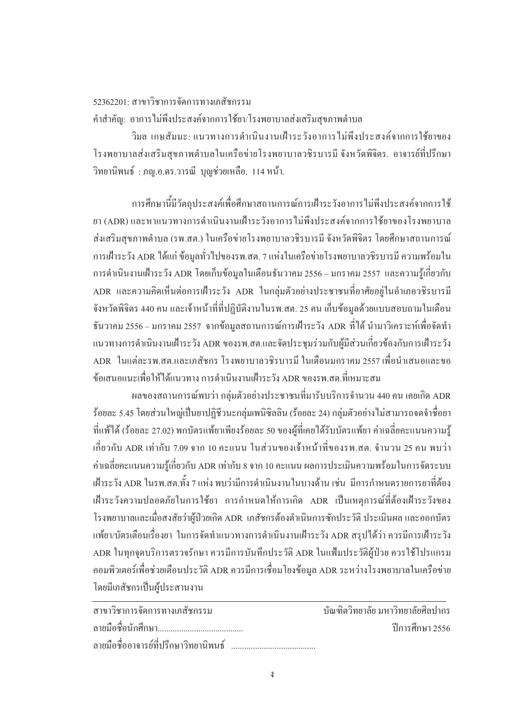## $52362201$ · สาขาวิชาการจัดการทางเภสัชกรรม ้คำสำคัญ: อาการไม่พึงประสงค์จากการใช้ยา/โรงพยาบาลส่งเสริมสุขภาพตำบล

วิมล เกษสัมมะ: แนวทางการคำเนินงานเฝ้าระวังอาการใม้พึงประสงค์จากการใช้ยาของ โรงพยาบาลส่งเสริมสุขภาพตำบลในเครือข่ายโรงพยาบาลวชิรบารมี จังหวัดพิจิตร. อาจารย์ที่ปรึกษา วิทยานิพนธ์ : ภญ.อ.คร.วารณี บุญช่วยเหลือ. 114 หน้า.

ิ การศึกษานี้มีวัตถประสงค์เพื่อศึกษาสถานการณ์การเฝ้าระวังอาการ ไม่พึงประสงค์จากการใช้ ยา (ADR) และหาแนวทางการคำเนินงานเฝ้าระวังอาการ ไม่พึงประสงค์จากการใช้ยาของโรงพยาบาล ส่งเสริมสุขภาพตำบล (รพ.สต.) ในเครือข่ายโรงพยาบาลวชิรบารมี จังหวัดพิจิตร โดยศึกษาสถานการณ์ การเฝ้าระวัง ADR ได้แก่ ข้อมูลทั่วไปของรพ.สต. 7 แห่งในเครือข่ายโรงพยาบาลวชิรบารมี ความพร้อมใน การดำเนินงานเฝ้าระวัง ADR โดยเก็บข้อมูลในเดือนธันวาคม 2556 – มกราคม 2557 และความรู้เกี่ยวกับ  $\,$ ADR และความคิดเห็นต่อการเฝ้าระวัง ADR ในกลุ่มตัวอย่างประชาชนที่อาศัยอยู่ในอำเภอวชิรบารมี ้ จังหวัดพิจิตร 440 คน และเจ้าหน้าที่ที่ปฏิบัติงานในรพ.สต. 25 คน เก็บข้อมูลด้วยแบบสอบถามในเดือน ี ธันวาคม 2556 – มกราคม 2557 จากข้อมูลสถานการณ์การเฝ้าระวัง ADR ที่ได้ นำมาวิเคราะห์เพื่อจัดทำ uนวทางการดำเนินงานเฝ้าระวัง ADR ของรพ.สต.และจัดประชุมร่วมกับผู้มีส่วนเกี่ยวข้องกับการเฝ้าระวัง  $\;$  ADR  $\;$  ในแต่ละรพ.สต.และเภสัชกร โรงพยาบาลวชิรบารมี ในเดือนมกราคม 2557 เพื่อนำเสนอและขอ ้ข้อเสบอแบะเพื่อให้ได้แบวทาง การดำเบิบงาบเฝ้าระวัง ADR ของรพ สต ที่เหมาะสม

ี ผลของสถานการณ์พบว่า กล่มตัวอย่างประชาชนที่มารับบริการจำนวน 440 คน เคยเกิด ADR ู้ ร้อยละ 5.45 โดยส่วนใหญ่เป็นยาปฏิชีวนะกลุ่มเพนิซิลลิน (ร้อยละ 24) กลุ่มตัวอย่างไม่สามารถจดจำชื่อยา ู้ที่แฟ้ได้ (ร้อยละ 27.02) พกบัตรแพ้ยาเพียงร้อยละ 50 ของผ้ที่เคยได้รับบัตรแพ้ยา ค่าเฉลี่ยคะแนนความร้ ้เกี่ยวกับ ADR เท่ากับ 7.09 จาก 10 คะแนน ในส่วนของเจ้าหน้าที่ของรพ.สต. จำนวน 25 คน พบว่า ี ค่าเฉลี่ยคะแนนความรู้เกี่ยวกับ ADR เท่ากับ 8 จาก 10 คะแนน ผลการประเมินความพร้อมในการจัดระบบ ้ เฝ้าระวัง ADR ในรพ.สต.ทั้ง 7 แห่ง พบว่ามีการดำเนินงานในบางด้าน เช่น มีการกำหนดรายการยาที่ต้อง เฝ้าระวังความปลอดภัยในการใช้ยา การกำหนดให้การเกิด ADR เป็นเหตุการณ์ที่ต้องเฝ้าระวังของ โรงพยาบาลและเมื่อสงสัยว่าผู้ป่วยเกิด ADR เภสัชกรต้องดำเนินการซักประวัติ ประเมินผล และออกบัตร แพ้ยา/บัตรเตือนเรื่องยา ในการจัดทำแนวทางการดำเนินงานเฝ้าระวัง ADR สรุปได้ว่า ควรมีการเฝ้าระวัง ADR ในทุกจุดบริการตรวจรักษา ควรมีการบันทึกประวัติ ADR ในแฟ้มประวัติผู้ป่วย ควรใช้โปรแกรม ิ คอมพิวเตอร์เพื่อช่วยเตือนประวัติ ADR ควรมีการเชื่อมโยงข้อมล ADR ระหว่างโรงพยาบาลในเครือข่าย โดยมีเภสัชกรเป็นผ้ประสานงาน

| สาขาวิชาการจัดการทางเภสัชกรรม          | ้บัณฑิตวิทยาลัย มหาวิทยาลัยศิลปากร |
|----------------------------------------|------------------------------------|
|                                        | ้ ปีการศึกษา 2556                  |
| ิลายมือชื่ออาจารย์ที่ปรึกษาวิทยานิพนธ์ |                                    |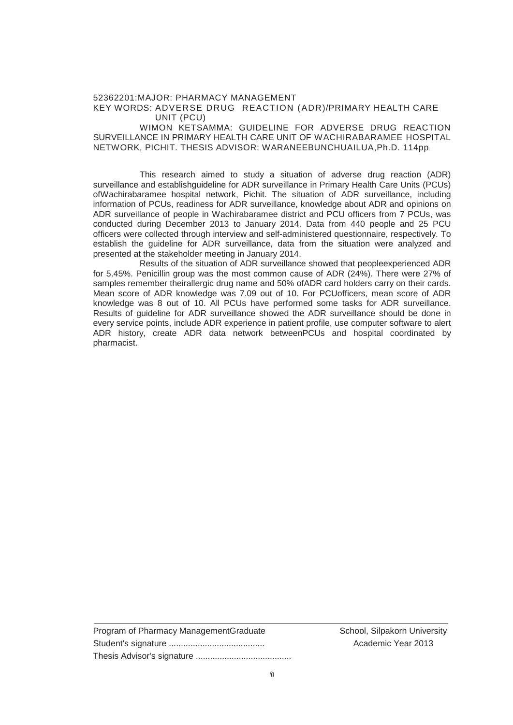## 52362201:MAJOR: PHARMACY MANAGEMENT KEY WORDS: ADVERSE DRUG REACTION (ADR)/PRIMARY HEALTH CARE UNIT (PCU)

WIMON KETSAMMA: GUIDELINE FOR ADVERSE DRUG REACTION SURVEILLANCE IN PRIMARY HEALTH CARE UNIT OF WACHIRABARAMEE HOSPITAL NETWORK, PICHIT. THESIS ADVISOR: WARANEEBUNCHUAILUA,Ph.D. 114pp

This research aimed to study a situation of adverse drug reaction (ADR) surveillance and establishguideline for ADR surveillance in Primary Health Care Units (PCUs) ofWachirabaramee hospital network, Pichit. The situation of ADR surveillance, including information of PCUs, readiness for ADR surveillance, knowledge about ADR and opinions on ADR surveillance of people in Wachirabaramee district and PCU officers from 7 PCUs, was conducted during December 2013 to January 2014. Data from 440 people and 25 PCU officers were collected through interview and self-administered questionnaire, respectively. To establish the guideline for ADR surveillance, data from the situation were analyzed and presented at the stakeholder meeting in January 2014.

 Results of the situation of ADR surveillance showed that peopleexperienced ADR for 5.45%. Penicillin group was the most common cause of ADR (24%). There were 27% of samples remember theirallergic drug name and 50% ofADR card holders carry on their cards. Mean score of ADR knowledge was 7.09 out of 10. For PCUofficers, mean score of ADR knowledge was 8 out of 10. All PCUs have performed some tasks for ADR surveillance. Results of guideline for ADR surveillance showed the ADR surveillance should be done in every service points, include ADR experience in patient profile, use computer software to alert ADR history, create ADR data network betweenPCUs and hospital coordinated by pharmacist.

| Program of Pharmacy ManagementGraduate |
|----------------------------------------|
|                                        |
|                                        |

School, Silpakorn University Academic Year 2013